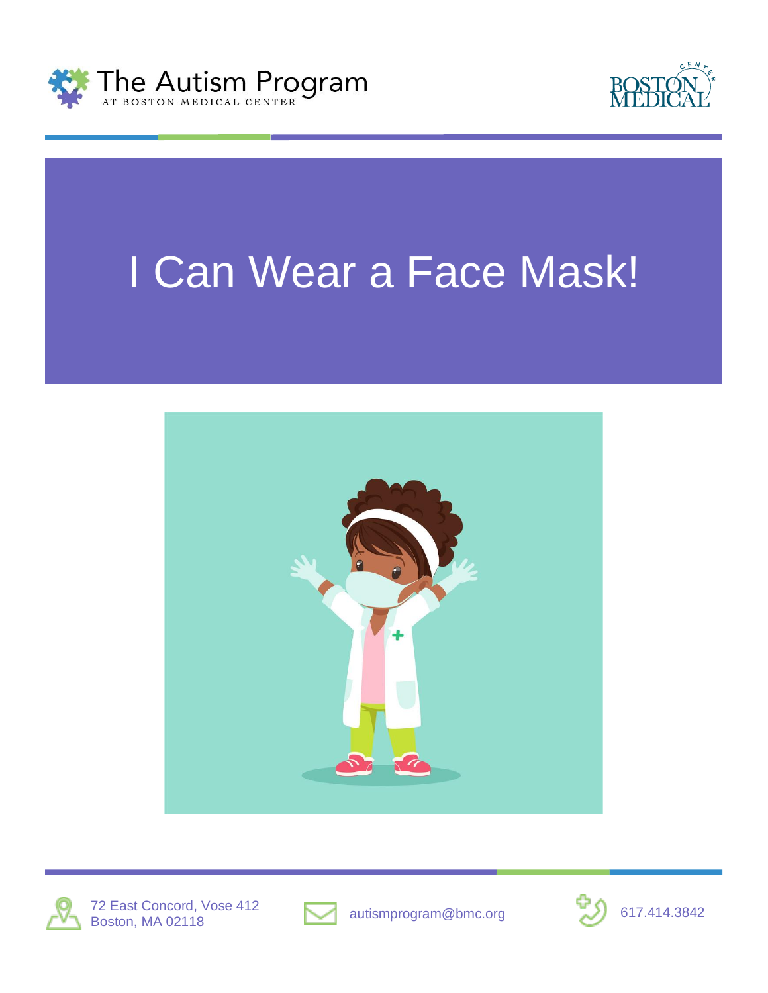



# I Can Wear a Face Mask!







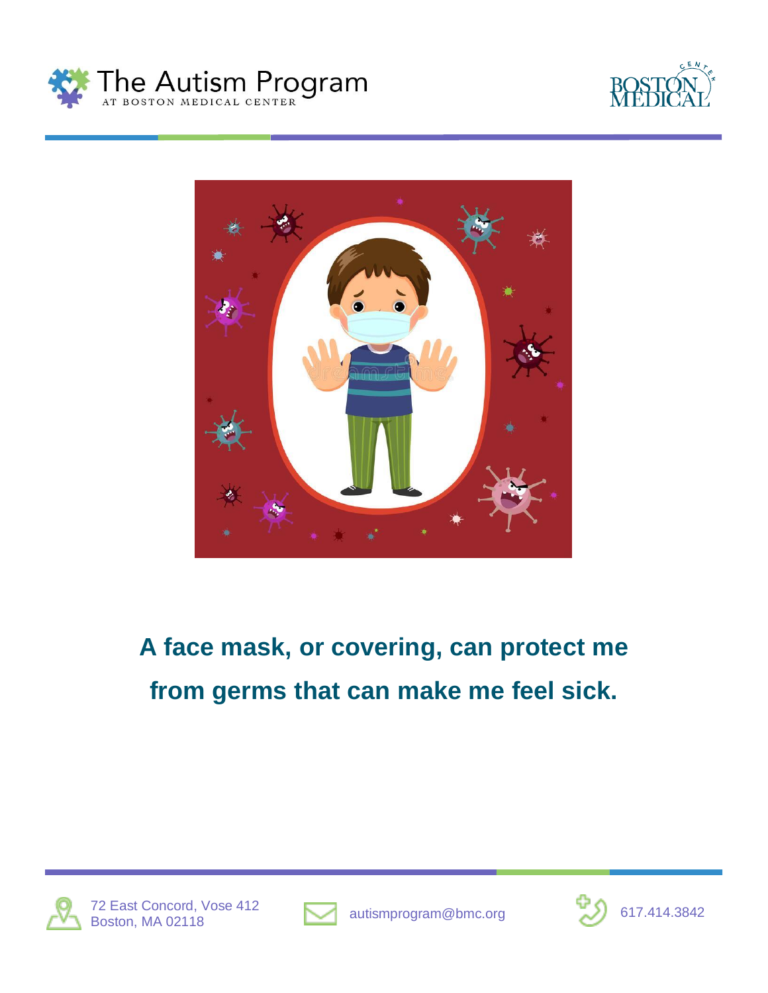





#### **A face mask, or covering, can protect me from germs that can make me feel sick.**





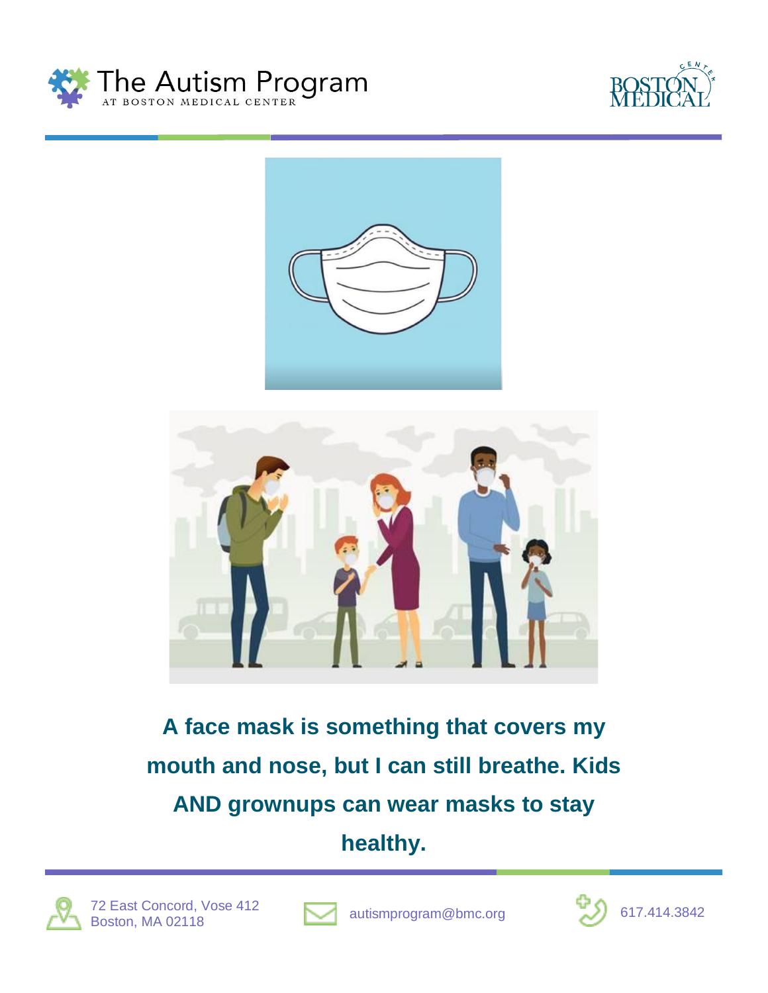







**A face mask is something that covers my mouth and nose, but I can still breathe. Kids AND grownups can wear masks to stay**

**healthy.**





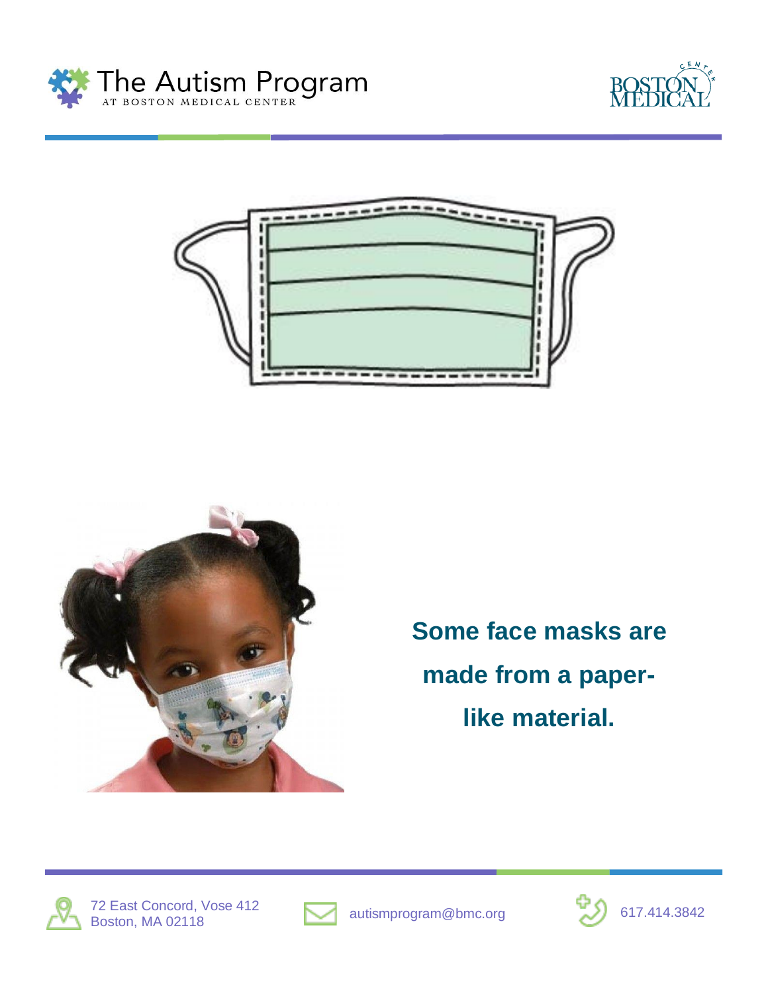







**Some face masks are made from a paperlike material.**





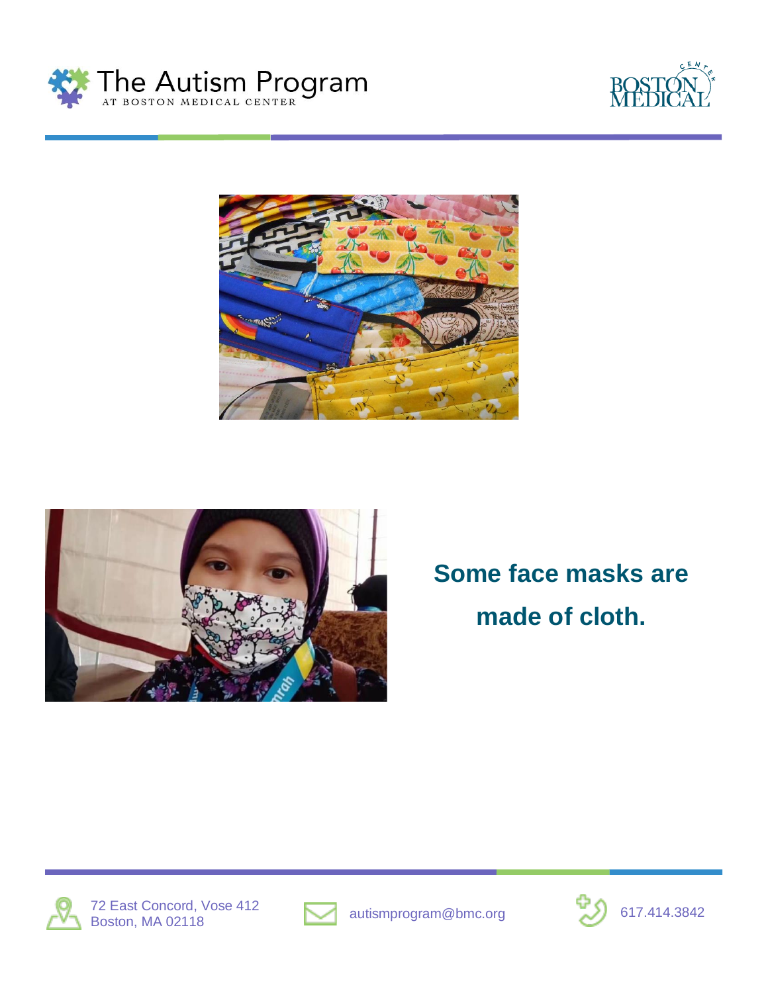







**Some face masks are made of cloth.**





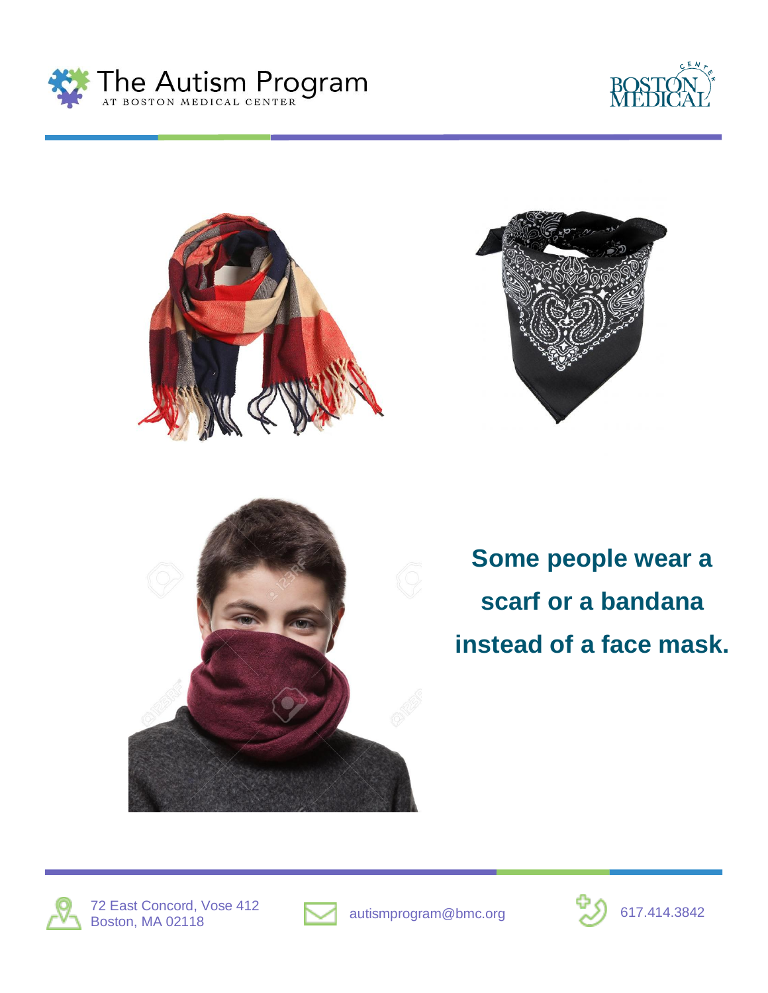









**Some people wear a scarf or a bandana instead of a face mask.**





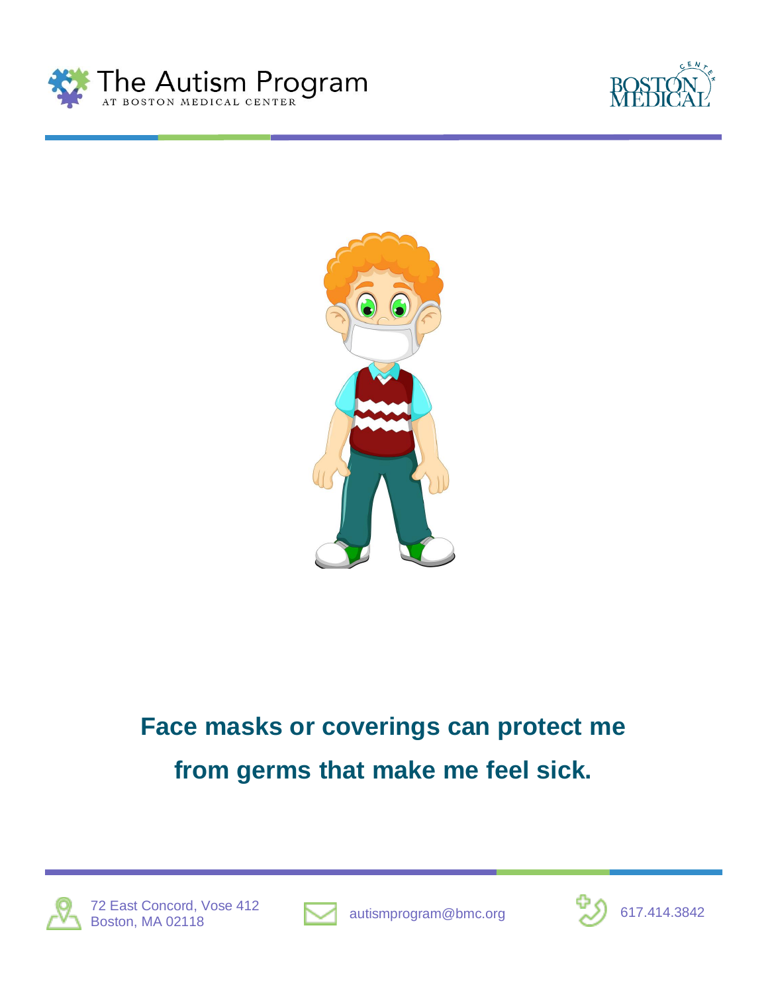





#### **Face masks or coverings can protect me from germs that make me feel sick.**





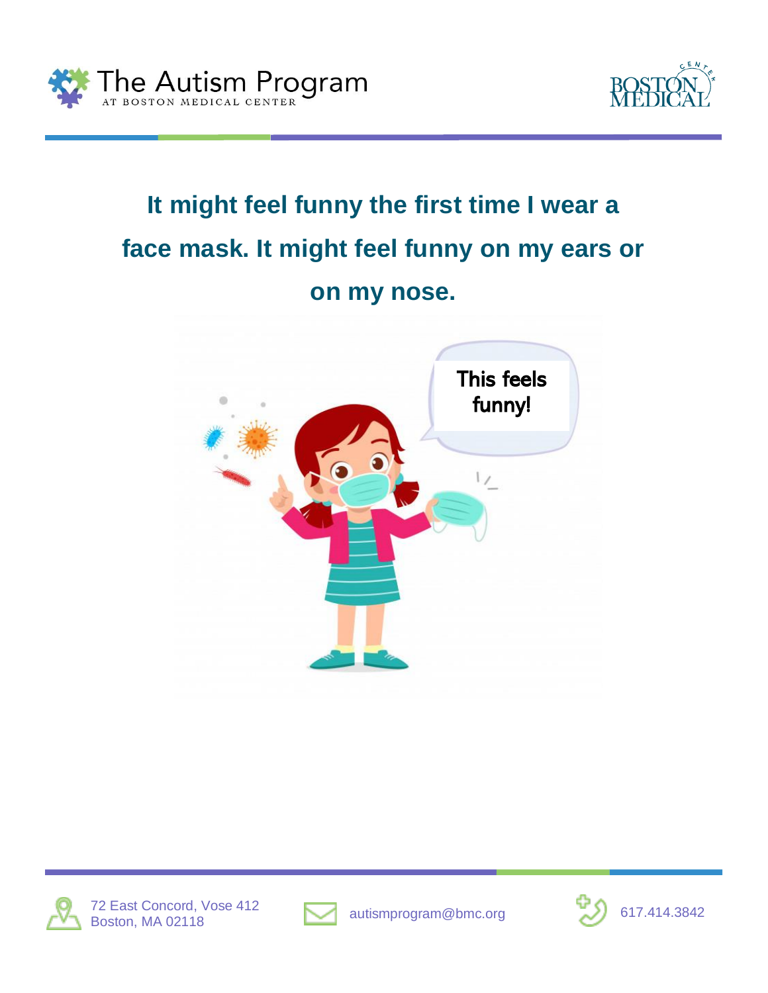



### **It might feel funny the first time I wear a face mask. It might feel funny on my ears or on my nose.**







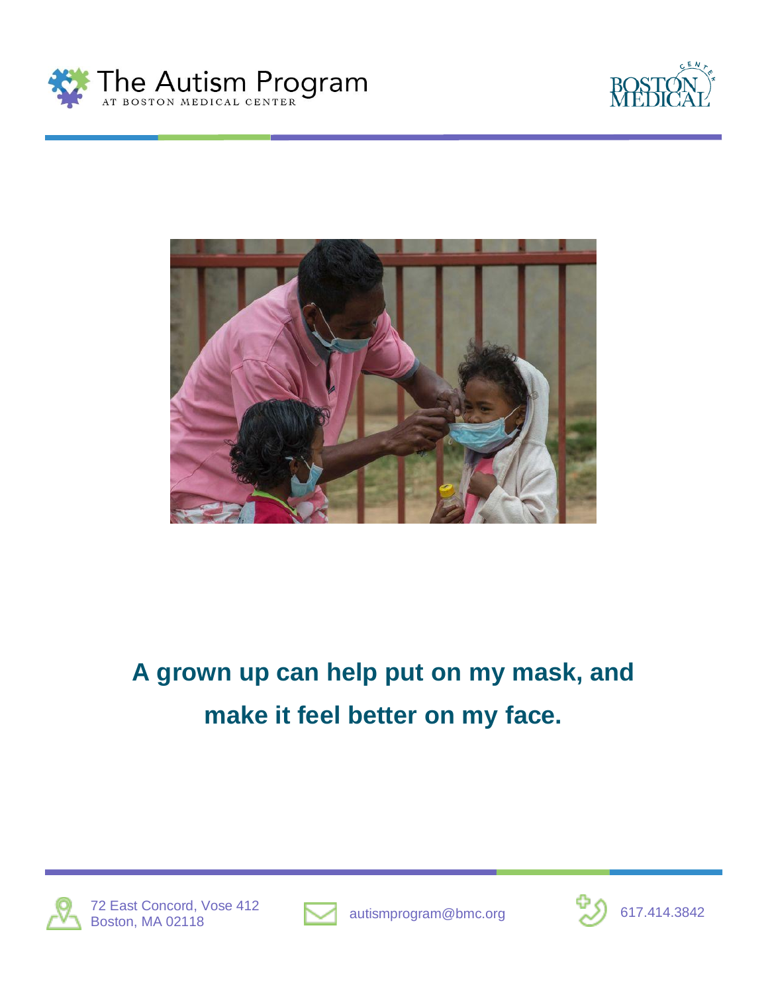





#### **A grown up can help put on my mask, and make it feel better on my face.**



72 East Concord, Vose 412  $\blacksquare$  autismprogram@bmc.org  $\blacksquare$  617.414.3842 Boston, MA 02118



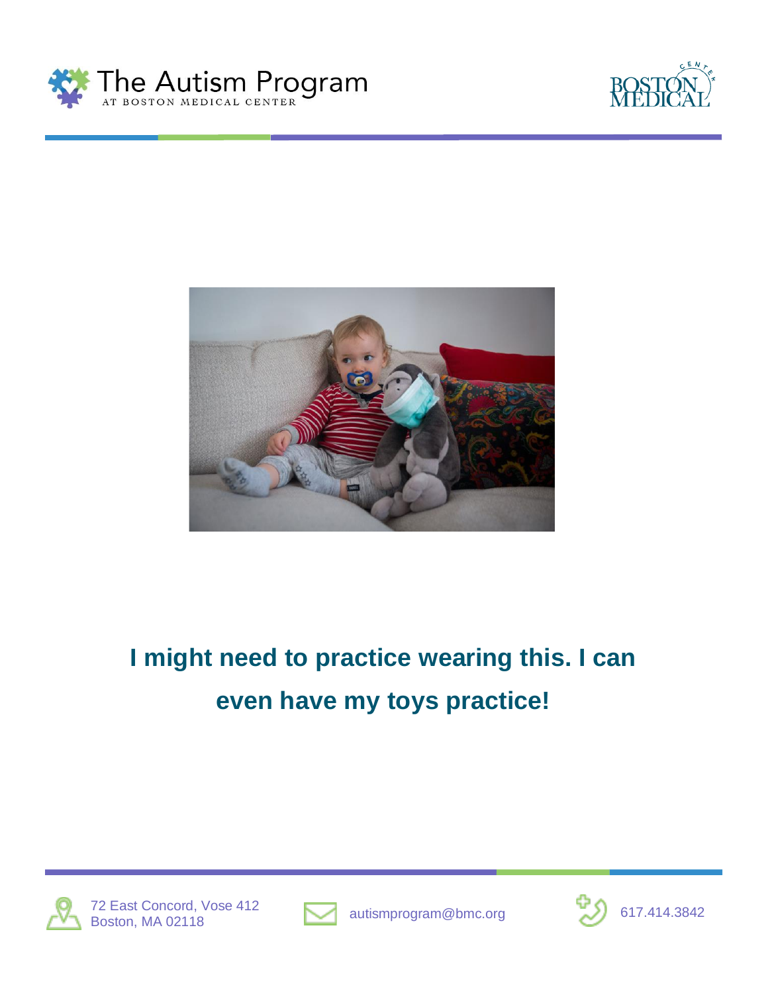





#### **I might need to practice wearing this. I can even have my toys practice!**



72 East Concord, Vose 412  $\blacksquare$  autismprogram@bmc.org  $\blacksquare$  617.414.3842 Boston, MA 02118



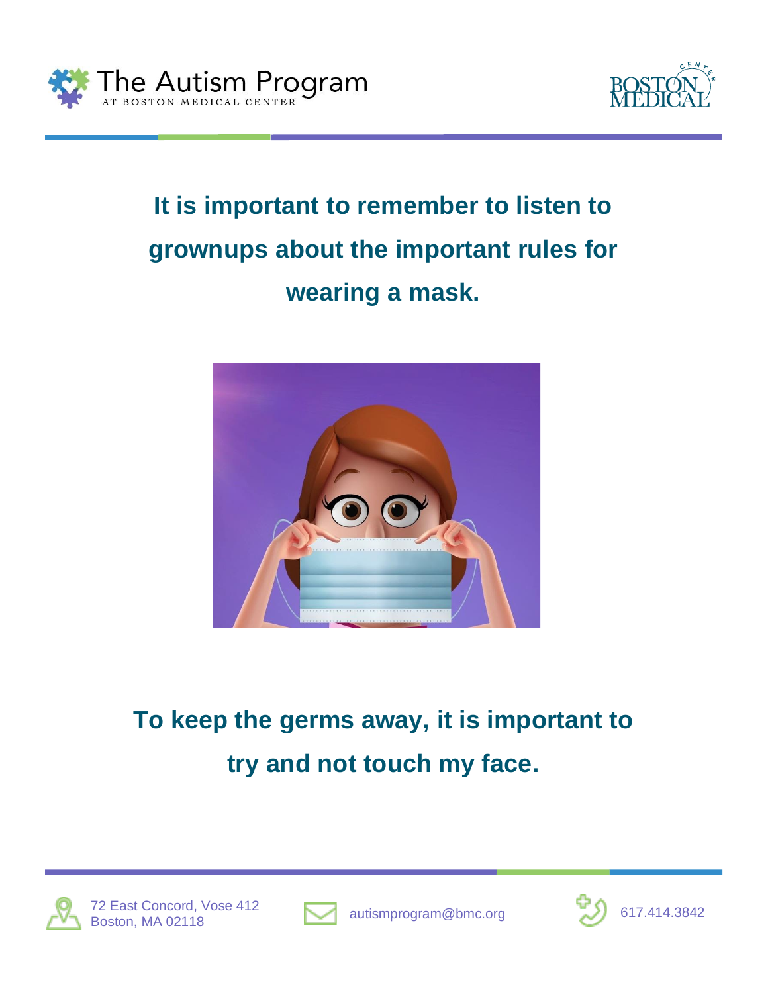



#### **It is important to remember to listen to grownups about the important rules for wearing a mask.**



### **To keep the germs away, it is important to try and not touch my face.**





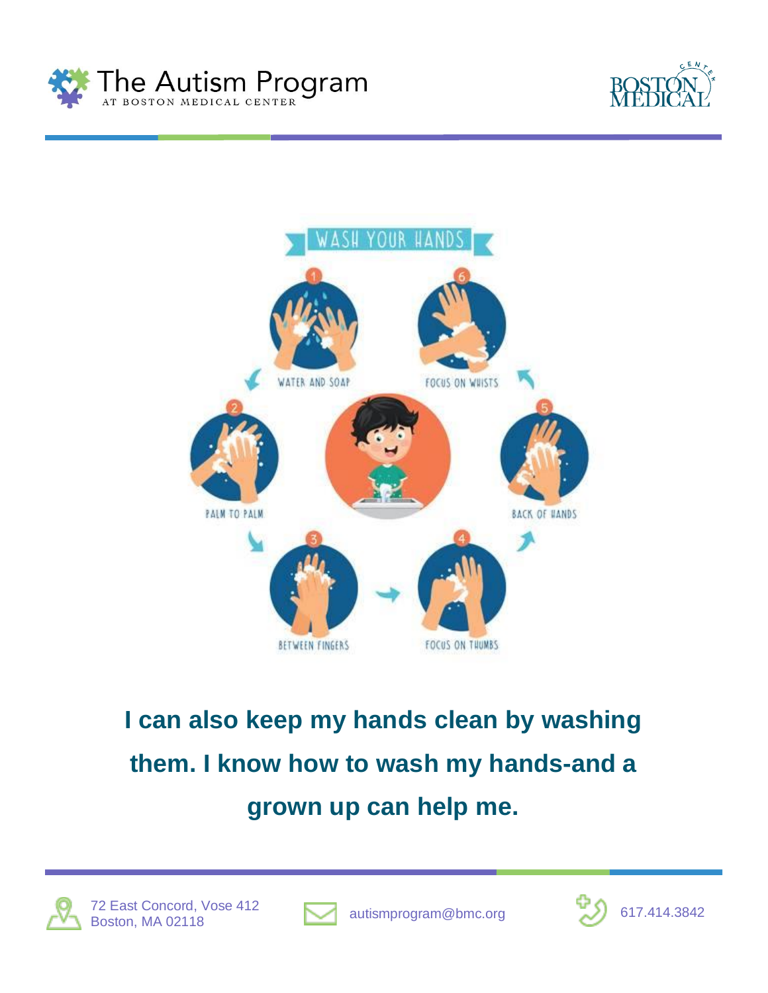





## **I can also keep my hands clean by washing them. I know how to wash my hands-and a grown up can help me.**





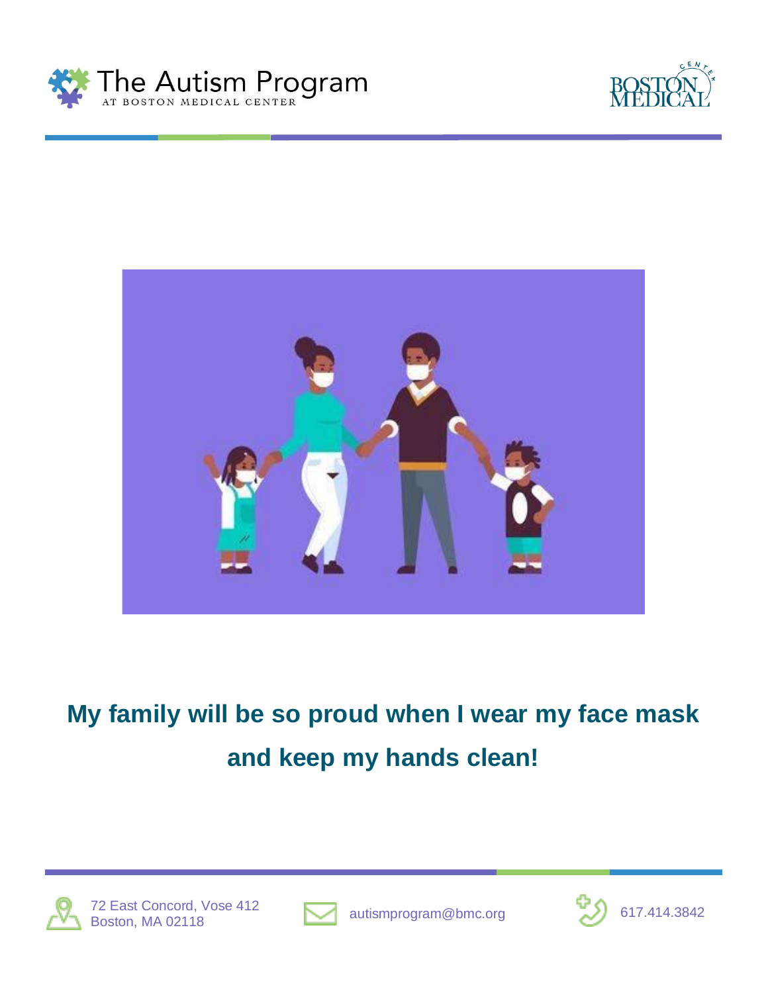





#### **My family will be so proud when I wear my face mask and keep my hands clean!**